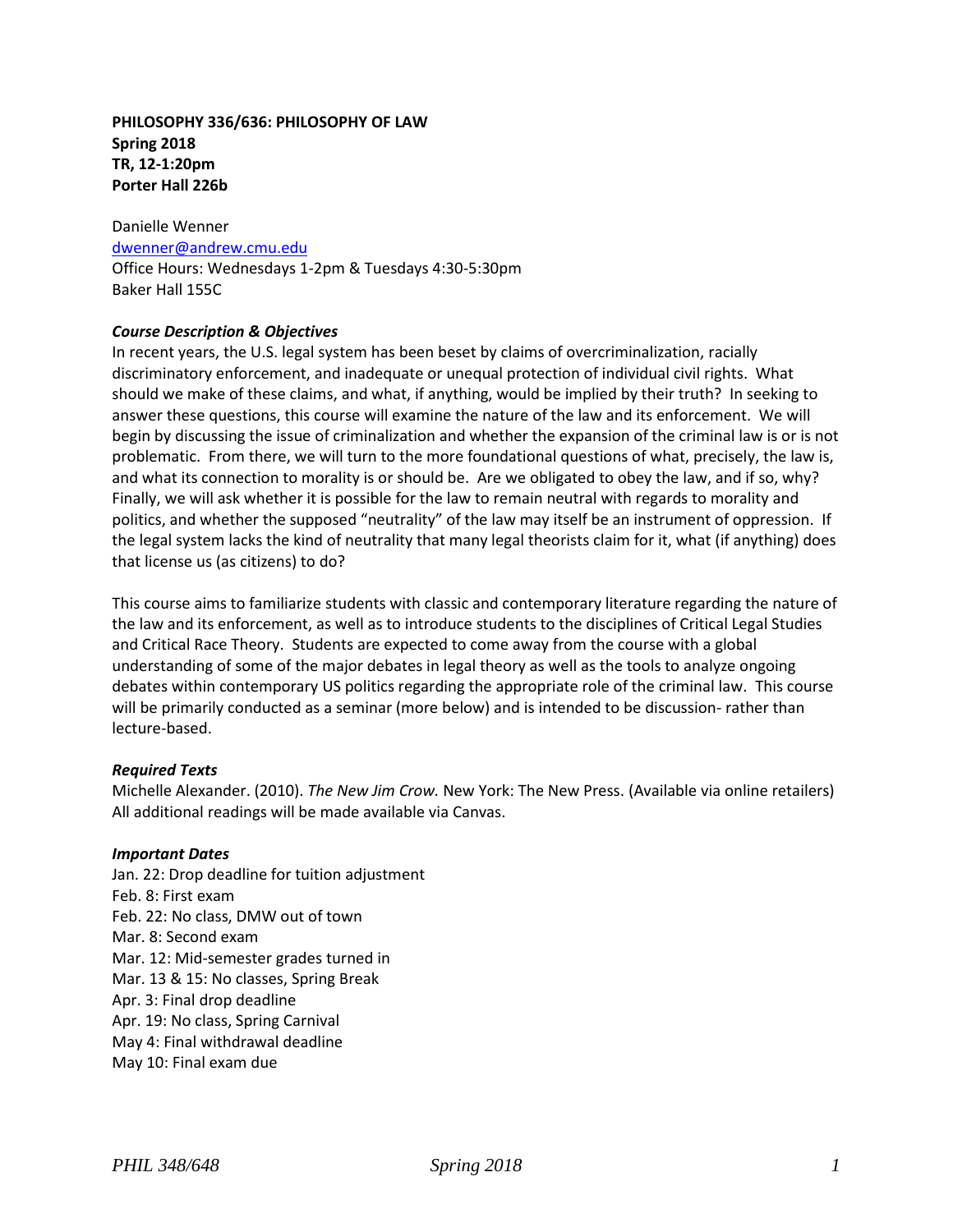## **PHILOSOPHY 336/636: PHILOSOPHY OF LAW Spring 2018 TR, 12-1:20pm Porter Hall 226b**

Danielle Wenner [dwenner@andrew.cmu.edu](mailto:dwenner@andrew.cmu.edu) Office Hours: Wednesdays 1-2pm & Tuesdays 4:30-5:30pm Baker Hall 155C

### *Course Description & Objectives*

In recent years, the U.S. legal system has been beset by claims of overcriminalization, racially discriminatory enforcement, and inadequate or unequal protection of individual civil rights. What should we make of these claims, and what, if anything, would be implied by their truth? In seeking to answer these questions, this course will examine the nature of the law and its enforcement. We will begin by discussing the issue of criminalization and whether the expansion of the criminal law is or is not problematic. From there, we will turn to the more foundational questions of what, precisely, the law is, and what its connection to morality is or should be. Are we obligated to obey the law, and if so, why? Finally, we will ask whether it is possible for the law to remain neutral with regards to morality and politics, and whether the supposed "neutrality" of the law may itself be an instrument of oppression. If the legal system lacks the kind of neutrality that many legal theorists claim for it, what (if anything) does that license us (as citizens) to do?

This course aims to familiarize students with classic and contemporary literature regarding the nature of the law and its enforcement, as well as to introduce students to the disciplines of Critical Legal Studies and Critical Race Theory. Students are expected to come away from the course with a global understanding of some of the major debates in legal theory as well as the tools to analyze ongoing debates within contemporary US politics regarding the appropriate role of the criminal law. This course will be primarily conducted as a seminar (more below) and is intended to be discussion- rather than lecture-based.

#### *Required Texts*

Michelle Alexander. (2010). *The New Jim Crow.* New York: The New Press. (Available via online retailers) All additional readings will be made available via Canvas.

#### *Important Dates*

Jan. 22: Drop deadline for tuition adjustment Feb. 8: First exam Feb. 22: No class, DMW out of town Mar. 8: Second exam Mar. 12: Mid-semester grades turned in Mar. 13 & 15: No classes, Spring Break Apr. 3: Final drop deadline Apr. 19: No class, Spring Carnival May 4: Final withdrawal deadline May 10: Final exam due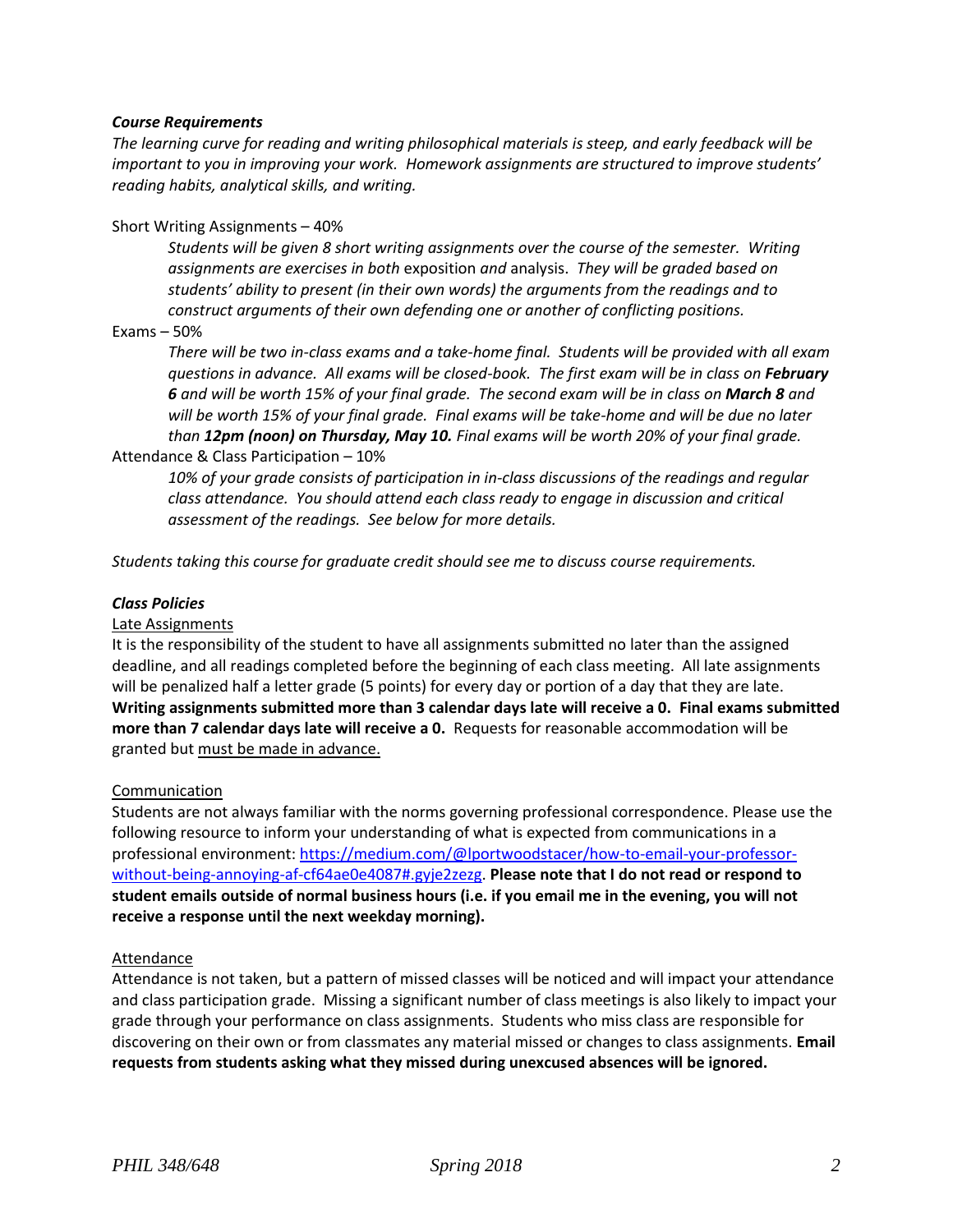### *Course Requirements*

*The learning curve for reading and writing philosophical materials is steep, and early feedback will be important to you in improving your work. Homework assignments are structured to improve students' reading habits, analytical skills, and writing.*

### Short Writing Assignments – 40%

*Students will be given 8 short writing assignments over the course of the semester. Writing assignments are exercises in both* exposition *and* analysis. *They will be graded based on students' ability to present (in their own words) the arguments from the readings and to construct arguments of their own defending one or another of conflicting positions.*

### Exams – 50%

*There will be two in-class exams and a take-home final. Students will be provided with all exam questions in advance. All exams will be closed-book. The first exam will be in class on February*  **6** and will be worth 15% of your final grade. The second exam will be in class on **March 8** and *will be worth 15% of your final grade. Final exams will be take-home and will be due no later than 12pm (noon) on Thursday, May 10. Final exams will be worth 20% of your final grade.*

#### Attendance & Class Participation – 10%

*10% of your grade consists of participation in in-class discussions of the readings and regular class attendance. You should attend each class ready to engage in discussion and critical assessment of the readings. See below for more details.*

*Students taking this course for graduate credit should see me to discuss course requirements.*

### *Class Policies*

#### Late Assignments

It is the responsibility of the student to have all assignments submitted no later than the assigned deadline, and all readings completed before the beginning of each class meeting. All late assignments will be penalized half a letter grade (5 points) for every day or portion of a day that they are late. **Writing assignments submitted more than 3 calendar days late will receive a 0. Final exams submitted more than 7 calendar days late will receive a 0.** Requests for reasonable accommodation will be granted but must be made in advance.

## Communication

Students are not always familiar with the norms governing professional correspondence. Please use the following resource to inform your understanding of what is expected from communications in a professional environment[: https://medium.com/@lportwoodstacer/how-to-email-your-professor](https://medium.com/@lportwoodstacer/how-to-email-your-professor-without-being-annoying-af-cf64ae0e4087#.gyje2zezg)[without-being-annoying-af-cf64ae0e4087#.gyje2zezg.](https://medium.com/@lportwoodstacer/how-to-email-your-professor-without-being-annoying-af-cf64ae0e4087#.gyje2zezg) **Please note that I do not read or respond to student emails outside of normal business hours (i.e. if you email me in the evening, you will not receive a response until the next weekday morning).**

#### **Attendance**

Attendance is not taken, but a pattern of missed classes will be noticed and will impact your attendance and class participation grade. Missing a significant number of class meetings is also likely to impact your grade through your performance on class assignments. Students who miss class are responsible for discovering on their own or from classmates any material missed or changes to class assignments. **Email requests from students asking what they missed during unexcused absences will be ignored.**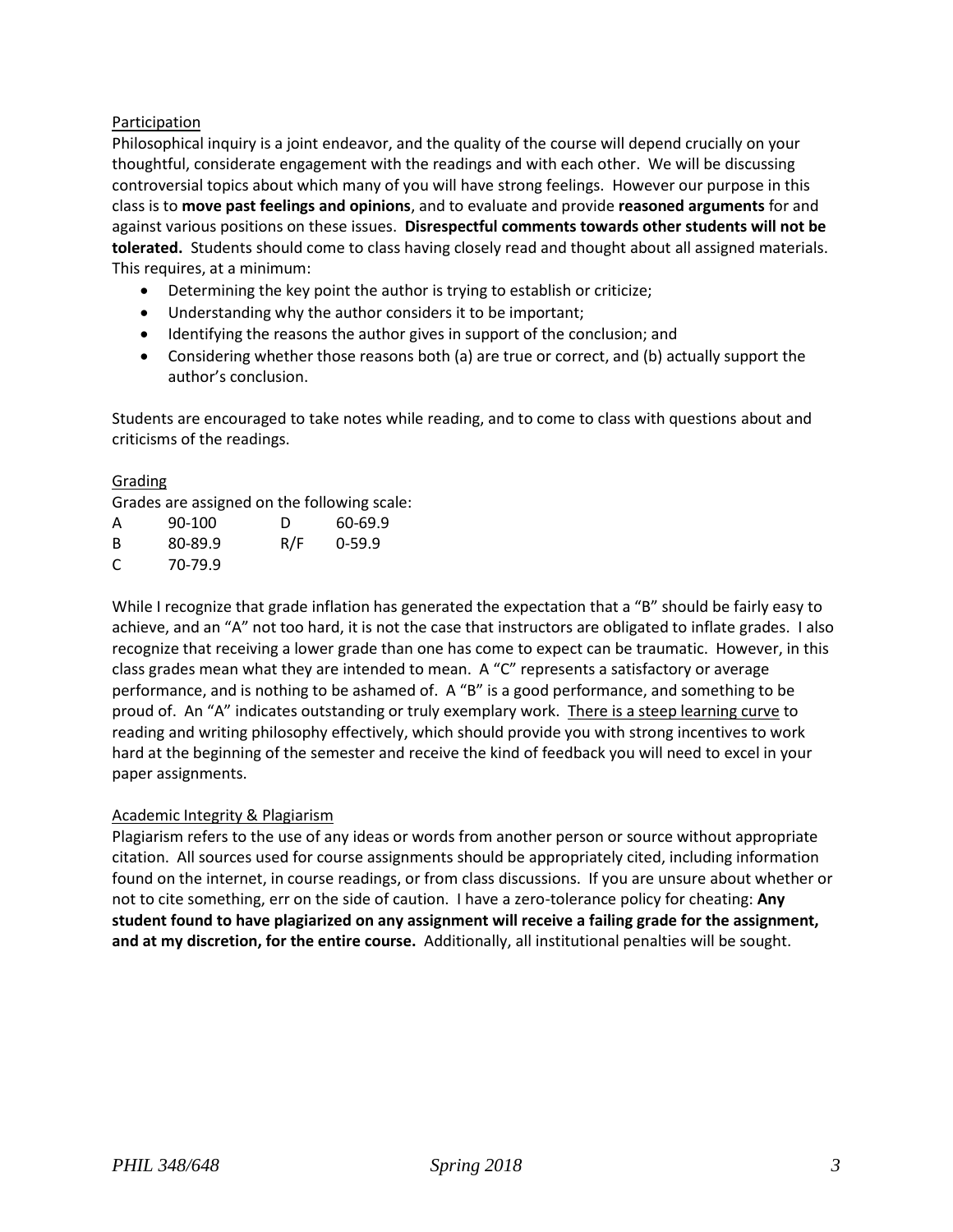# Participation

Philosophical inquiry is a joint endeavor, and the quality of the course will depend crucially on your thoughtful, considerate engagement with the readings and with each other. We will be discussing controversial topics about which many of you will have strong feelings. However our purpose in this class is to **move past feelings and opinions**, and to evaluate and provide **reasoned arguments** for and against various positions on these issues. **Disrespectful comments towards other students will not be tolerated.** Students should come to class having closely read and thought about all assigned materials. This requires, at a minimum:

- Determining the key point the author is trying to establish or criticize;
- Understanding why the author considers it to be important;
- Identifying the reasons the author gives in support of the conclusion; and
- Considering whether those reasons both (a) are true or correct, and (b) actually support the author's conclusion.

Students are encouraged to take notes while reading, and to come to class with questions about and criticisms of the readings.

## Grading

Grades are assigned on the following scale:

| А | 90-100  | D   | 60-69.9  |
|---|---------|-----|----------|
| B | 80-89.9 | R/F | $0-59.9$ |
| C | 70-79.9 |     |          |

While I recognize that grade inflation has generated the expectation that a "B" should be fairly easy to achieve, and an "A" not too hard, it is not the case that instructors are obligated to inflate grades. I also recognize that receiving a lower grade than one has come to expect can be traumatic. However, in this class grades mean what they are intended to mean. A "C" represents a satisfactory or average performance, and is nothing to be ashamed of. A "B" is a good performance, and something to be proud of. An "A" indicates outstanding or truly exemplary work. There is a steep learning curve to reading and writing philosophy effectively, which should provide you with strong incentives to work hard at the beginning of the semester and receive the kind of feedback you will need to excel in your paper assignments.

## Academic Integrity & Plagiarism

Plagiarism refers to the use of any ideas or words from another person or source without appropriate citation. All sources used for course assignments should be appropriately cited, including information found on the internet, in course readings, or from class discussions. If you are unsure about whether or not to cite something, err on the side of caution. I have a zero-tolerance policy for cheating: **Any student found to have plagiarized on any assignment will receive a failing grade for the assignment, and at my discretion, for the entire course.** Additionally, all institutional penalties will be sought.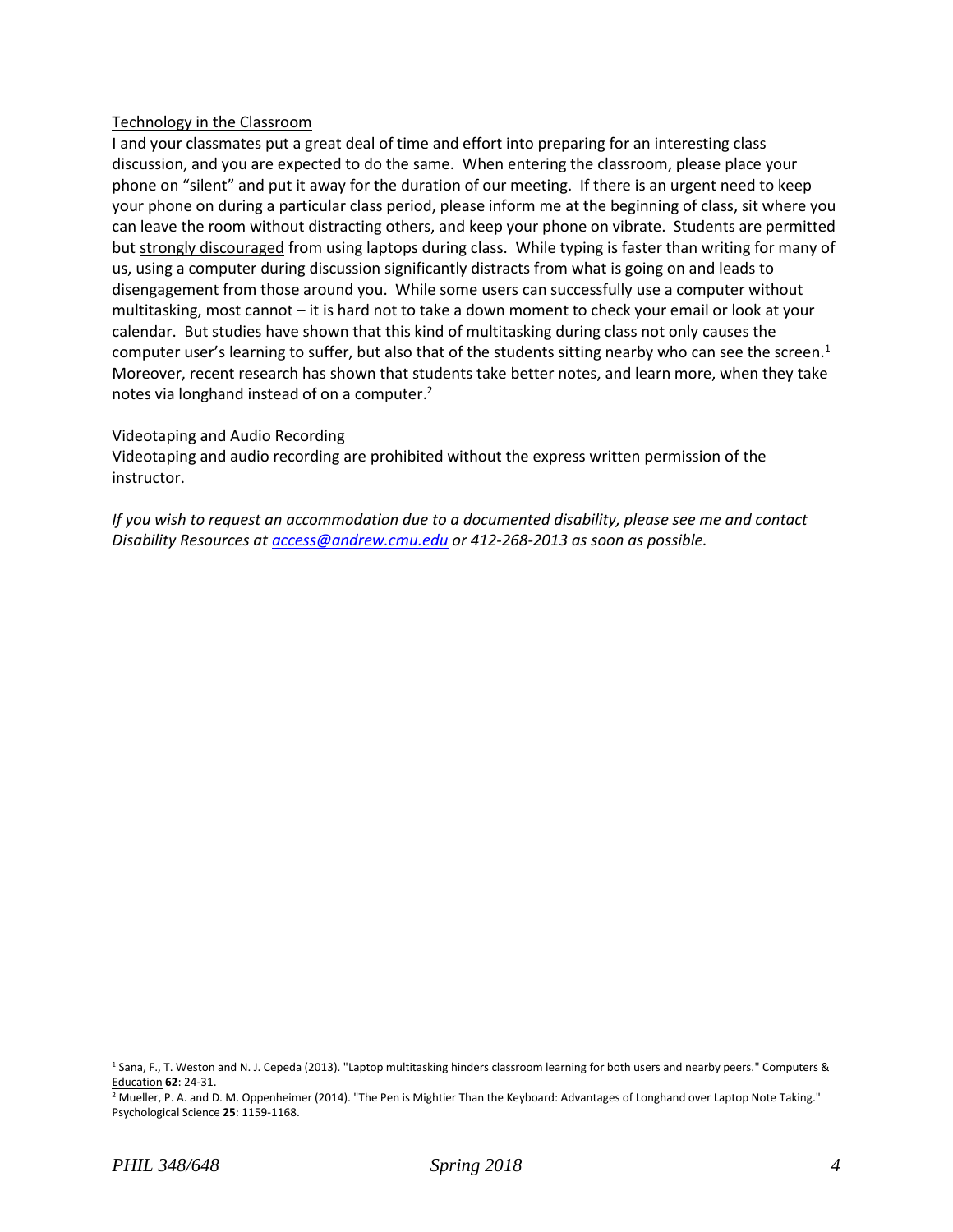### Technology in the Classroom

I and your classmates put a great deal of time and effort into preparing for an interesting class discussion, and you are expected to do the same. When entering the classroom, please place your phone on "silent" and put it away for the duration of our meeting. If there is an urgent need to keep your phone on during a particular class period, please inform me at the beginning of class, sit where you can leave the room without distracting others, and keep your phone on vibrate. Students are permitted but strongly discouraged from using laptops during class. While typing is faster than writing for many of us, using a computer during discussion significantly distracts from what is going on and leads to disengagement from those around you. While some users can successfully use a computer without multitasking, most cannot – it is hard not to take a down moment to check your email or look at your calendar. But studies have shown that this kind of multitasking during class not only causes the computer user's learning to suffer, but also that of the students sitting nearby who can see the screen.<sup>1</sup> Moreover, recent research has shown that students take better notes, and learn more, when they take notes via longhand instead of on a computer.<sup>2</sup>

### Videotaping and Audio Recording

Videotaping and audio recording are prohibited without the express written permission of the instructor.

*If you wish to request an accommodation due to a documented disability, please see me and contact Disability Resources a[t access@andrew.cmu.edu](mailto:access@andrew.cmu.edu) or 412-268-2013 as soon as possible.*

 $\overline{a}$ 

<sup>&</sup>lt;sup>1</sup> Sana, F., T. Weston and N. J. Cepeda (2013). "Laptop multitasking hinders classroom learning for both users and nearby peers." Computers & Education **62**: 24-31.

<sup>&</sup>lt;sup>2</sup> Mueller, P. A. and D. M. Oppenheimer (2014). "The Pen is Mightier Than the Keyboard: Advantages of Longhand over Laptop Note Taking." Psychological Science **25**: 1159-1168.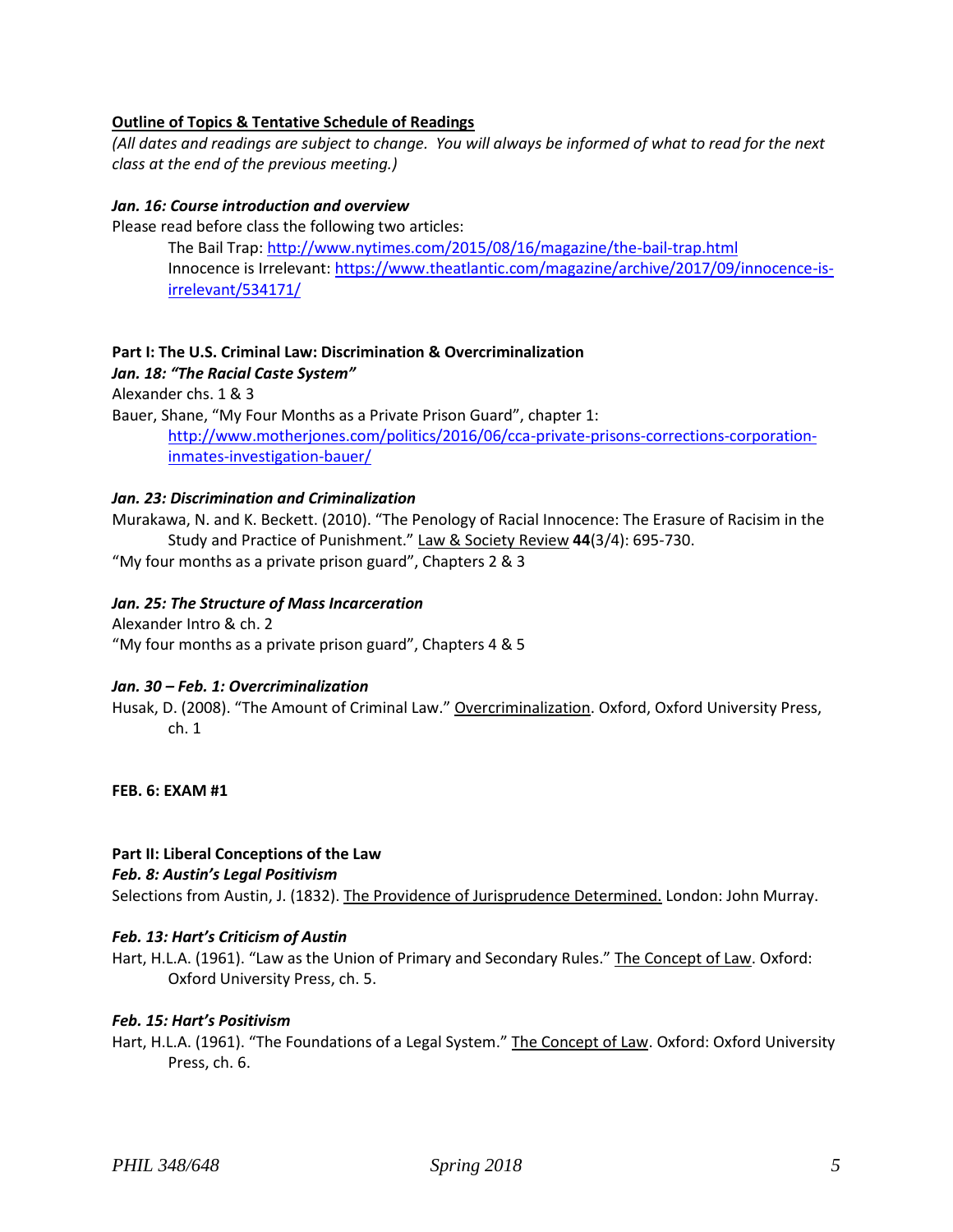### **Outline of Topics & Tentative Schedule of Readings**

*(All dates and readings are subject to change. You will always be informed of what to read for the next class at the end of the previous meeting.)*

#### *Jan. 16: Course introduction and overview*

Please read before class the following two articles:

The Bail Trap[: http://www.nytimes.com/2015/08/16/magazine/the-bail-trap.html](http://www.nytimes.com/2015/08/16/magazine/the-bail-trap.html) Innocence is Irrelevant: [https://www.theatlantic.com/magazine/archive/2017/09/innocence-is](https://www.theatlantic.com/magazine/archive/2017/09/innocence-is-irrelevant/534171/)[irrelevant/534171/](https://www.theatlantic.com/magazine/archive/2017/09/innocence-is-irrelevant/534171/)

### **Part I: The U.S. Criminal Law: Discrimination & Overcriminalization**

#### *Jan. 18: "The Racial Caste System"*

Alexander chs. 1 & 3

Bauer, Shane, "My Four Months as a Private Prison Guard", chapter 1: [http://www.motherjones.com/politics/2016/06/cca-private-prisons-corrections-corporation](http://www.motherjones.com/politics/2016/06/cca-private-prisons-corrections-corporation-inmates-investigation-bauer/)[inmates-investigation-bauer/](http://www.motherjones.com/politics/2016/06/cca-private-prisons-corrections-corporation-inmates-investigation-bauer/)

#### *Jan. 23: Discrimination and Criminalization*

Murakawa, N. and K. Beckett. (2010). "The Penology of Racial Innocence: The Erasure of Racisim in the Study and Practice of Punishment." Law & Society Review **44**(3/4): 695-730.

"My four months as a private prison guard", Chapters 2 & 3

#### *Jan. 25: The Structure of Mass Incarceration*

Alexander Intro & ch. 2 "My four months as a private prison guard", Chapters 4 & 5

#### *Jan. 30 – Feb. 1: Overcriminalization*

Husak, D. (2008). "The Amount of Criminal Law." Overcriminalization. Oxford, Oxford University Press, ch. 1

**FEB. 6: EXAM #1**

#### **Part II: Liberal Conceptions of the Law**

#### *Feb. 8: Austin's Legal Positivism*

Selections from Austin, J. (1832). The Providence of Jurisprudence Determined. London: John Murray.

#### *Feb. 13: Hart's Criticism of Austin*

Hart, H.L.A. (1961). "Law as the Union of Primary and Secondary Rules." The Concept of Law. Oxford: Oxford University Press, ch. 5.

### *Feb. 15: Hart's Positivism*

Hart, H.L.A. (1961). "The Foundations of a Legal System." The Concept of Law. Oxford: Oxford University Press, ch. 6.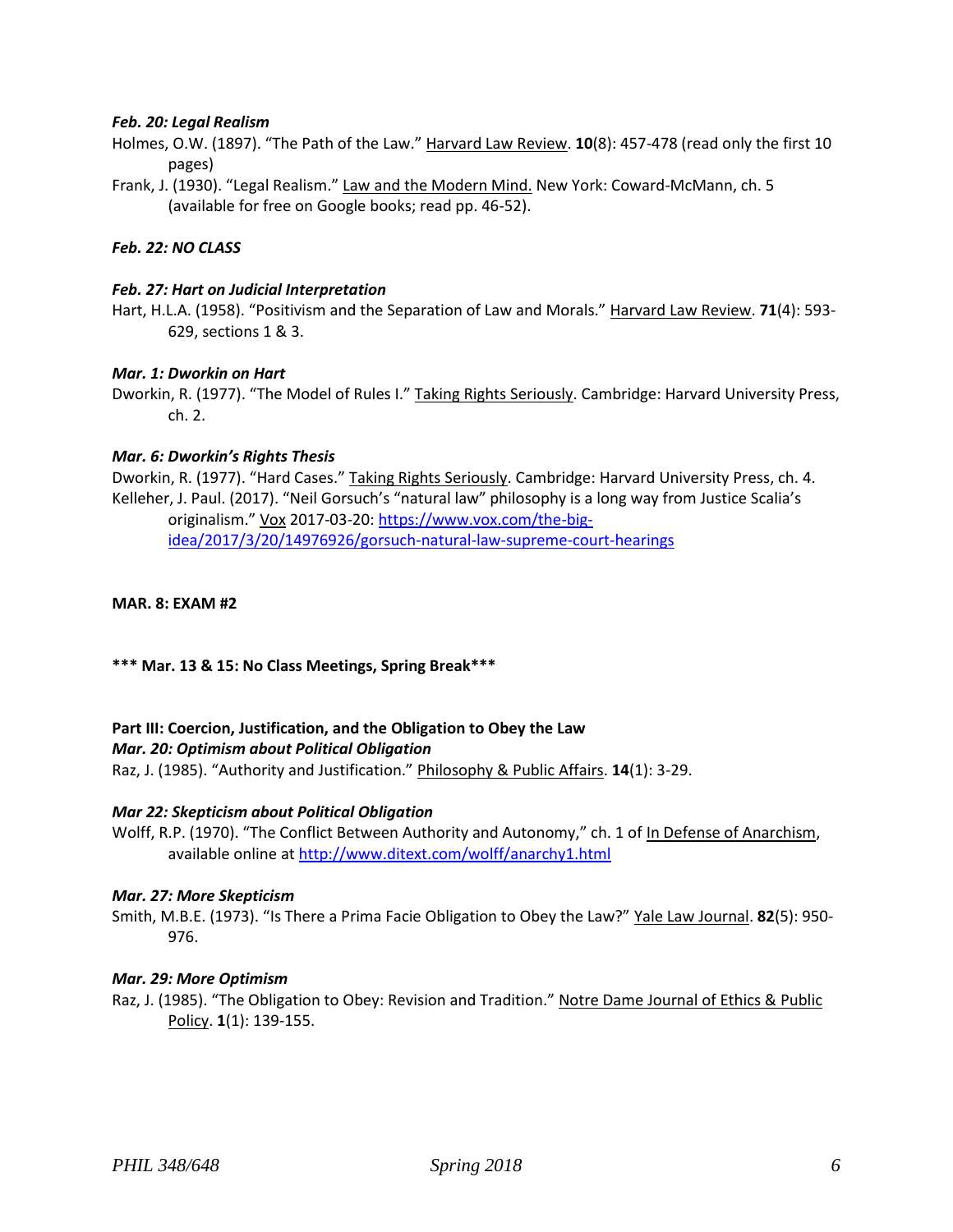### *Feb. 20: Legal Realism*

- Holmes, O.W. (1897). "The Path of the Law." Harvard Law Review. **10**(8): 457-478 (read only the first 10 pages)
- Frank, J. (1930). "Legal Realism." Law and the Modern Mind. New York: Coward-McMann, ch. 5 (available for free on Google books; read pp. 46-52).

### *Feb. 22: NO CLASS*

### *Feb. 27: Hart on Judicial Interpretation*

Hart, H.L.A. (1958). "Positivism and the Separation of Law and Morals." Harvard Law Review. **71**(4): 593- 629, sections 1 & 3.

#### *Mar. 1: Dworkin on Hart*

Dworkin, R. (1977). "The Model of Rules I." Taking Rights Seriously. Cambridge: Harvard University Press, ch. 2.

### *Mar. 6: Dworkin's Rights Thesis*

Dworkin, R. (1977). "Hard Cases." Taking Rights Seriously. Cambridge: Harvard University Press, ch. 4. Kelleher, J. Paul. (2017). "Neil Gorsuch's "natural law" philosophy is a long way from Justice Scalia's originalism." Vox 2017-03-20: [https://www.vox.com/the-big](https://www.vox.com/the-big-idea/2017/3/20/14976926/gorsuch-natural-law-supreme-court-hearings)[idea/2017/3/20/14976926/gorsuch-natural-law-supreme-court-hearings](https://www.vox.com/the-big-idea/2017/3/20/14976926/gorsuch-natural-law-supreme-court-hearings)

#### **MAR. 8: EXAM #2**

#### **\*\*\* Mar. 13 & 15: No Class Meetings, Spring Break\*\*\***

#### **Part III: Coercion, Justification, and the Obligation to Obey the Law**

#### *Mar. 20: Optimism about Political Obligation*

Raz, J. (1985). "Authority and Justification." Philosophy & Public Affairs. **14**(1): 3-29.

#### *Mar 22: Skepticism about Political Obligation*

Wolff, R.P. (1970). "The Conflict Between Authority and Autonomy," ch. 1 of In Defense of Anarchism, available online at<http://www.ditext.com/wolff/anarchy1.html>

#### *Mar. 27: More Skepticism*

Smith, M.B.E. (1973). "Is There a Prima Facie Obligation to Obey the Law?" Yale Law Journal. **82**(5): 950- 976.

#### *Mar. 29: More Optimism*

Raz, J. (1985). "The Obligation to Obey: Revision and Tradition." Notre Dame Journal of Ethics & Public Policy. **1**(1): 139-155.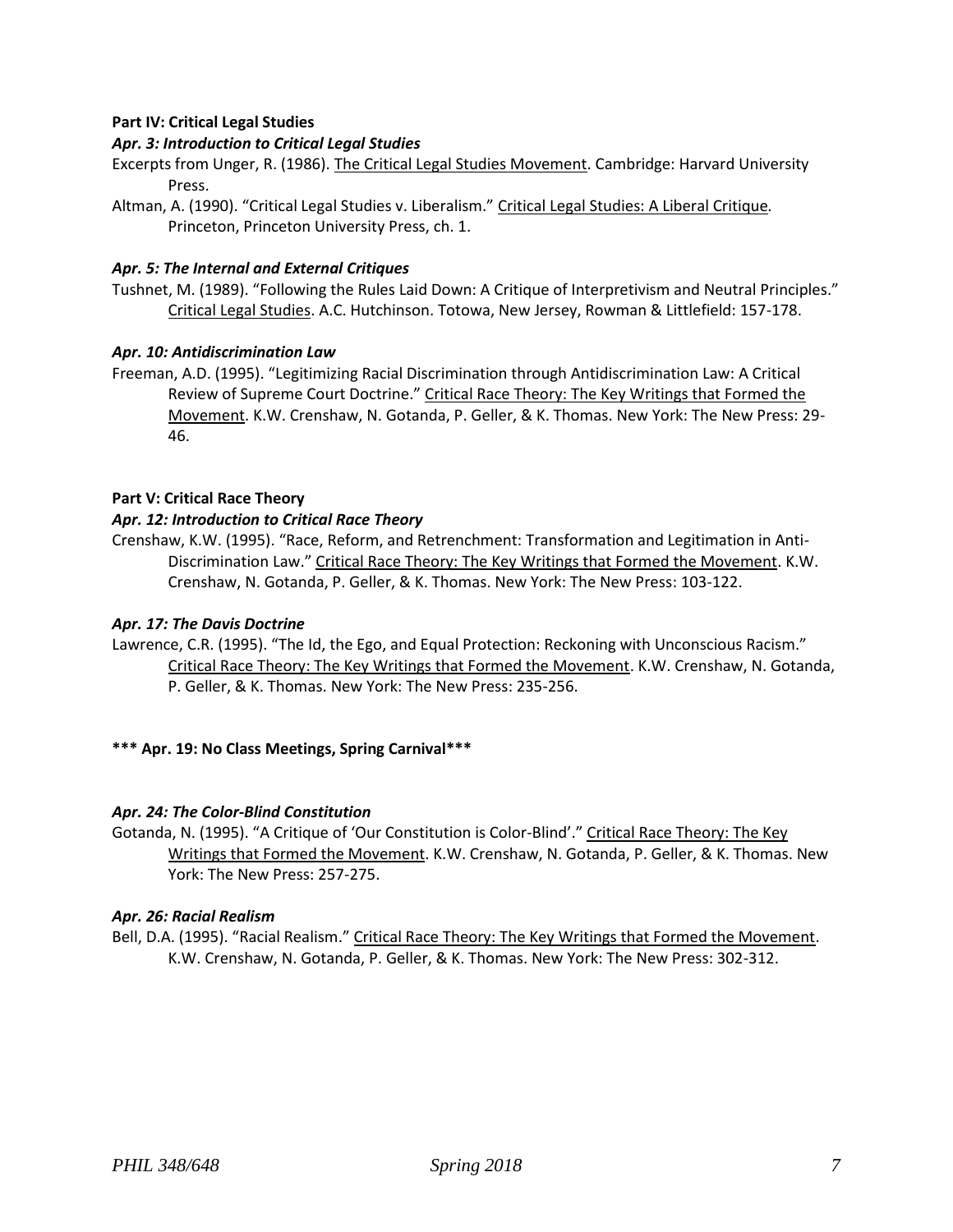## **Part IV: Critical Legal Studies**

## *Apr. 3: Introduction to Critical Legal Studies*

- Excerpts from Unger, R. (1986). The Critical Legal Studies Movement. Cambridge: Harvard University Press.
- Altman, A. (1990). "Critical Legal Studies v. Liberalism." Critical Legal Studies: A Liberal Critique*.* Princeton, Princeton University Press, ch. 1.

## *Apr. 5: The Internal and External Critiques*

Tushnet, M. (1989). "Following the Rules Laid Down: A Critique of Interpretivism and Neutral Principles." Critical Legal Studies. A.C. Hutchinson. Totowa, New Jersey, Rowman & Littlefield: 157-178.

## *Apr. 10: Antidiscrimination Law*

Freeman, A.D. (1995). "Legitimizing Racial Discrimination through Antidiscrimination Law: A Critical Review of Supreme Court Doctrine." Critical Race Theory: The Key Writings that Formed the Movement. K.W. Crenshaw, N. Gotanda, P. Geller, & K. Thomas. New York: The New Press: 29- 46.

### **Part V: Critical Race Theory**

### *Apr. 12: Introduction to Critical Race Theory*

Crenshaw, K.W. (1995). "Race, Reform, and Retrenchment: Transformation and Legitimation in Anti-Discrimination Law." Critical Race Theory: The Key Writings that Formed the Movement. K.W. Crenshaw, N. Gotanda, P. Geller, & K. Thomas. New York: The New Press: 103-122.

### *Apr. 17: The Davis Doctrine*

Lawrence, C.R. (1995). "The Id, the Ego, and Equal Protection: Reckoning with Unconscious Racism." Critical Race Theory: The Key Writings that Formed the Movement. K.W. Crenshaw, N. Gotanda, P. Geller, & K. Thomas. New York: The New Press: 235-256.

## **\*\*\* Apr. 19: No Class Meetings, Spring Carnival\*\*\***

## *Apr. 24: The Color-Blind Constitution*

Gotanda, N. (1995). "A Critique of 'Our Constitution is Color-Blind'." Critical Race Theory: The Key Writings that Formed the Movement. K.W. Crenshaw, N. Gotanda, P. Geller, & K. Thomas. New York: The New Press: 257-275.

#### *Apr. 26: Racial Realism*

Bell, D.A. (1995). "Racial Realism." Critical Race Theory: The Key Writings that Formed the Movement. K.W. Crenshaw, N. Gotanda, P. Geller, & K. Thomas. New York: The New Press: 302-312.